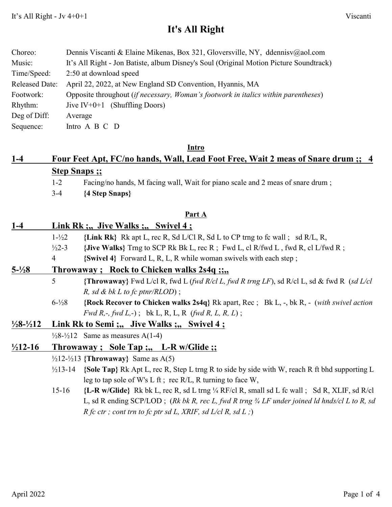## **It's All Right**

| Choreo:               | Dennis Viscanti & Elaine Mikenas, Box 321, Gloversville, NY, ddennisv@aol.com          |
|-----------------------|----------------------------------------------------------------------------------------|
| Music:                | It's All Right - Jon Batiste, album Disney's Soul (Original Motion Picture Soundtrack) |
| Time/Speed:           | 2:50 at download speed                                                                 |
| <b>Released Date:</b> | April 22, 2022, at New England SD Convention, Hyannis, MA                              |
| Footwork:             | Opposite throughout (if necessary, Woman's footwork in italics within parentheses)     |
| Rhythm:               | Jive $IV+0+1$ (Shuffling Doors)                                                        |
| Deg of Diff:          | Average                                                                                |
| Sequence:             | Intro A B C D                                                                          |

#### **Intro**

# **1-4 Four Feet Apt, FC/no hands, Wall, Lead Foot Free, Wait 2 meas of Snare drum ;; 4 Step Snaps ;;**

- 1-2 Facing/no hands, M facing wall, Wait for piano scale and 2 meas of snare drum ;
- 3-4 **{4 Step Snaps}**

#### **Part A**

### **1-4 Link Rk ;,, Jive Walks ;,, Swivel 4 ;** 1-½2 **{Link Rk}** Rk apt L, rec R, Sd L/Cl R, Sd L to CP trng to fc wall ; sd R/L, R,

- <sup>1</sup>/2<sup>2</sup>-3 {Jive Walks} Trng to SCP Rk Bk L, rec R; Fwd L, cl R/fwd L, fwd R, cl L/fwd R;
- 4 **{Swivel 4}** Forward L, R, L, R while woman swivels with each step ;

### **5-½8 Throwaway ; Rock to Chicken walks 2s4q ;;,,**

- 5 **{Throwaway}** Fwd L/cl R, fwd L (*fwd R/cl L, fwd R trng LF*), sd R/cl L, sd & fwd R (*sd L/cl R, sd & bk L to fc ptnr/RLOD*) ;
- 6-½8 **{Rock Recover to Chicken walks 2s4q}** Rk apart, Rec ; Bk L, -, bk R, (*with swivel action Fwd R,-, fwd L,-*) ; bk L, R, L, R (*fwd R, L, R, L*) ;

#### **½8-½12 Link Rk to Semi ;,, Jive Walks ;,, Swivel 4 ;**

 $\frac{1}{28}$ - $\frac{1}{212}$  Same as measures A(1-4)

### **½12-16 Throwaway ; Sole Tap ;,, L-R w/Glide ;;**

- ½12-½13 **{Throwaway}** Same as A(5)
- ½13-14 **{Sole Tap}** Rk Apt L, rec R, Step L trng R to side by side with W, reach R ft bhd supporting L leg to tap sole of W's L ft ; rec R/L, R turning to face W,
- 15-16 **{L-R w/Glide}** Rk bk L, rec R, sd L trng ¼ RF/cl R, small sd L fc wall ; Sd R, XLIF, sd R/cl L, sd R ending SCP/LOD ; (*Rk bk R, rec L, fwd R trng ¾ LF under joined ld hnds/cl L to R, sd R fc ctr ; cont trn to fc ptr sd L, XRIF, sd L/cl R, sd L ;*)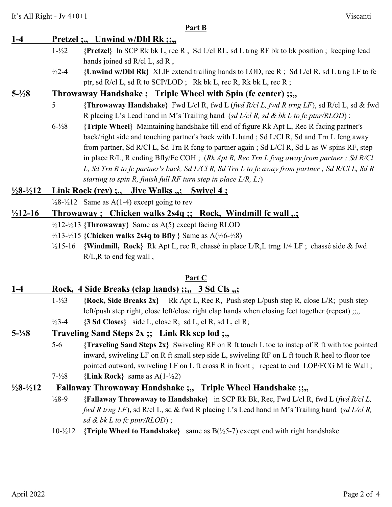#### **Part B**

## **1-4 Pretzel ;,, Unwind w/Dbl Rk ;;,,** 1-½2 **{Pretzel}** In SCP Rk bk L, rec R , Sd L/cl RL, sd L trng RF bk to bk position ; keeping lead hands joined sd R/cl L, sd R, ½2-4 **{Unwind w/Dbl Rk}** XLIF extend trailing hands to LOD, rec R ; Sd L/cl R, sd L trng LF to fc ptr, sd R/cl L, sd R to SCP/LOD ; Rk bk L, rec R, Rk bk L, rec R ; **5-½8 Throwaway Handshake ; Triple Wheel with Spin (fc center) ;;,,** 5 **{Throwaway Handshake}** Fwd L/cl R, fwd L (*fwd R/cl L, fwd R trng LF*), sd R/cl L, sd & fwd R placing L's Lead hand in M's Trailing hand (*sd L/cl R, sd & bk L to fc ptnr/RLOD*) ; 6-½8 **{Triple Wheel}** Maintaining handshake till end of figure Rk Apt L, Rec R facing partner's back/right side and touching partner's back with L hand ; Sd L/Cl R, Sd and Trn L fcng away from partner, Sd R/Cl L, Sd Trn R fcng to partner again ; Sd L/Cl R, Sd L as W spins RF, step in place R/L, R ending Bfly/Fc COH ; (*Rk Apt R, Rec Trn L fcng away from partner ; Sd R/Cl L, Sd Trn R to fc partner's back, Sd L/Cl R, Sd Trn L to fc away from partner ; Sd R/Cl L, Sd R starting to spin R, finish full RF turn step in place L/R, L;*) **½8-½12 Link Rock (rev) ;,, Jive Walks ,,; Swivel 4 ;**  $\frac{1}{28}$ - $\frac{1}{212}$  Same as A(1-4) except going to rev **½12-16 Throwaway ; Chicken walks 2s4q ;; Rock, Windmill fc wall ,,;** ½12-½13 **{Throwaway}** Same as A(5) except facing RLOD ½13-½15 **{Chicken walks 2s4q to Bfly }** Same as A(½6-½8) ½15-16 **{Windmill, Rock}** Rk Apt L, rec R, chassé in place L/R,L trng 1/4 LF ; chassé side & fwd

R/L,R to end fcg wall ,

### **Part C**

### **1-4 Rock, 4 Side Breaks (clap hands) ;;,, 3 Sd Cls ,,;**

- 1-½3 **{Rock, Side Breaks 2x}** Rk Apt L, Rec R, Push step L/push step R, close L/R; push step left/push step right, close left/close right clap hands when closing feet together (repeat) ;;,,
- ½3-4 **{3 Sd Closes}** side L, close R; sd L, cl R, sd L, cl R;

### **5-½8 Traveling Sand Steps 2x ;; Link Rk scp lod ;,,**

- 5-6 **{Traveling Sand Steps 2x}** Swiveling RF on R ft touch L toe to instep of R ft with toe pointed inward, swiveling LF on R ft small step side L, swiveling RF on L ft touch R heel to floor toe pointed outward, swiveling LF on L ft cross R in front; repeat to end LOP/FCG M fc Wall;
- 7-½8 **{Link Rock}** same as A(1-½2)

### **½8-½12 Fallaway Throwaway Handshake ;,, Triple Wheel Handshake ;;,,**

- ½8-9 **{Fallaway Throwaway to Handshake}** in SCP Rk Bk, Rec, Fwd L/cl R, fwd L (*fwd R/cl L, fwd R trng LF*), sd R/cl L, sd & fwd R placing L's Lead hand in M's Trailing hand (*sd L/cl R, sd & bk L to fc ptnr/RLOD*) ;
- 10-½12 **{Triple Wheel to Handshake}** same as B(½5-7) except end with right handshake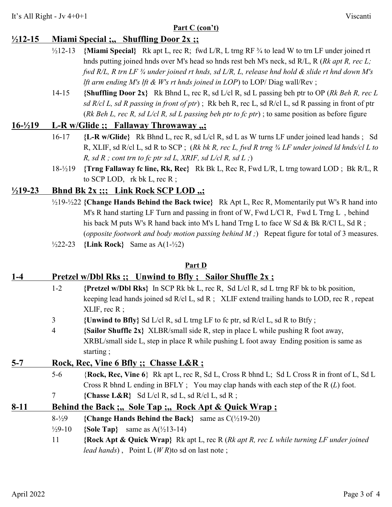#### **Part C (con't)**

## **½12-15 Miami Special ;,, Shuffling Door 2x ;;**

- ½12-13 **{Miami Special}** Rk apt L, rec R; fwd L/R, L trng RF ¾ to lead W to trn LF under joined rt hnds putting joined hnds over M's head so hnds rest beh M's neck, sd R/L, R (*Rk apt R, rec L; fwd R/L, R trn LF ¾ under joined rt hnds, sd L/R, L, release hnd hold & slide rt hnd down M's lft arm ending M's lft & W's rt hnds joined in LOP*) to LOP/ Diag wall/Rev ;
- 14-15 **{Shuffling Door 2x}** Rk Bhnd L, rec R, sd L/cl R, sd L passing beh ptr to OP (*Rk Beh R, rec L sd R/cl L, sd R passing in front of ptr*) ; Rk beh R, rec L, sd R/cl L, sd R passing in front of ptr (*Rk Beh L, rec R, sd L/cl R, sd L passing beh ptr to fc ptr*) ; to same position as before figure

### **16-½19 L-R w/Glide ;; Fallaway Throwaway ,,;**

- 16-17 **{L-R w/Glide}** Rk Bhnd L, rec R, sd L/cl R, sd L as W turns LF under joined lead hands ; Sd R, XLIF, sd R/cl L, sd R to SCP ; (*Rk bk R, rec L, fwd R trng ¾ LF under joined ld hnds/cl L to R, sd R ; cont trn to fc ptr sd L, XRIF, sd L/cl R, sd L ;*)
- 18-½19 **{Trng Fallaway fc line, Rk, Rec}** Rk Bk L, Rec R, Fwd L/R, L trng toward LOD ; Bk R/L, R to SCP LOD, rk bk L, rec R ;

## **½19-23 Bhnd Bk 2x ;;; Link Rock SCP LOD ,,;**

- ½19-½22 **{Change Hands Behind the Back twice}** Rk Apt L, Rec R, Momentarily put W's R hand into M's R hand starting LF Turn and passing in front of W, Fwd L/Cl R, Fwd L Trng L, behind his back M puts W's R hand back into M's L hand Trng L to face W Sd & Bk R/Cl L, Sd R; (*opposite footwork and body motion passing behind M ;*) Repeat figure for total of 3 measures.
- ½22-23 **{Link Rock}** Same as A(1-½2)

#### **Part D**

## **1-4 Pretzel w/Dbl Rks ;; Unwind to Bfly ; Sailor Shuffle 2x ;**

- 1-2 **{Pretzel w/Dbl Rks}** In SCP Rk bk L, rec R, Sd L/cl R, sd L trng RF bk to bk position, keeping lead hands joined sd R/cl L, sd R ; XLIF extend trailing hands to LOD, rec R , repeat XLIF, rec R ;
- 3 **{Unwind to Bfly}** Sd L/cl R, sd L trng LF to fc ptr, sd R/cl L, sd R to Btfy ;
- 4 **{Sailor Shuffle 2x}** XLBR/small side R, step in place L while pushing R foot away, XRBL/small side L, step in place R while pushing L foot away Ending position is same as starting ;

## **5-7 Rock, Rec, Vine 6 Bfly ;; Chasse L&R ;**

- 5-6 {**Rock, Rec, Vine 6**} Rk apt L, rec R, Sd L, Cross R bhnd L; Sd L Cross R in front of L, Sd L Cross R bhnd L ending in BFLY ; You may clap hands with each step of the R (*L*) foot.
- **7 {Chasse L&R}** Sd L/cl R, sd L, sd R/cl L, sd R;

## **8-11 Behind the Back ;,, Sole Tap ;,, Rock Apt & Quick Wrap ;**

- 8-½9 **{Change Hands Behind the Back}** same as C(½19-20)
- ½9-10 **{Sole Tap}** same as A(½13-14)
- 11 **{Rock Apt & Quick Wrap}** Rk apt L, rec R (*Rk apt R, rec L while turning LF under joined lead hands*) , Point L (*W R*)to sd on last note ;